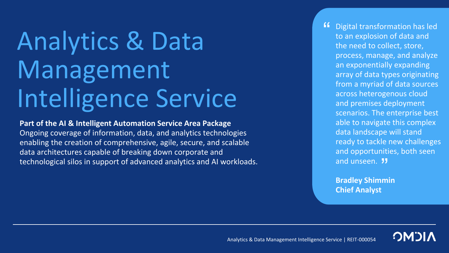# Analytics & Data Management Intelligence Service

**Part of the AI & Intelligent Automation Service Area Package** Ongoing coverage of information, data, and analytics technologies enabling the creation of comprehensive, agile, secure, and scalable data architectures capable of breaking down corporate and technological silos in support of advanced analytics and AI workloads. **"** Digital transformation has led<br>to an explosion of data and to an explosion of data and the need to collect, store, process, manage, and analyze an exponentially expanding array of data types originating from a myriad of data sources across heterogenous cloud and premises deployment scenarios. The enterprise best able to navigate this complex data landscape will stand ready to tackle new challenges and opportunities, both seen<br>and unseen. **33** and unseen. **JJ** 

**Bradley Shimmin Chief Analyst**

**NICMC** 

Analytics & Data Management Intelligence Service | REIT-000054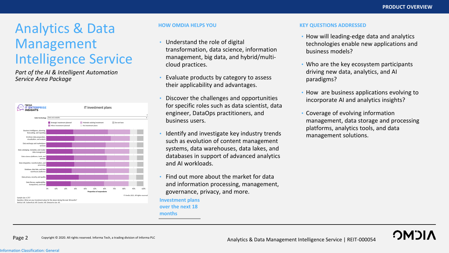**OMOL** 

# Analytics & Data Management Intelligence Service

*Part of the AI & Intelligent Automation Service Area Package*



- Understand the role of digital transformation, data science, information management, big data, and hybrid/multicloud practices.
- Evaluate products by category to assess their applicability and advantages.
- Discover the challenges and opportunities for specific roles such as data scientist, data engineer, DataOps practitioners, and business users.
- Identify and investigate key industry trends such as evolution of content management systems, data warehouses, data lakes, and databases in support of advanced analytics and AI workloads.
- Find out more about the market for data and information processing, management, governance, privacy, and more.
- **Investment plans over the next 18 months**

#### **HOW OMDIA HELPS YOU KEY QUESTIONS ADDRESSED**

- How will leading-edge data and analytics technologies enable new applications and business models?
- Who are the key ecosystem participants driving new data, analytics, and AI paradigms?
- How are business applications evolving to incorporate AI and analytics insights?
- Coverage of evolving information management, data storage and processing platforms, analytics tools, and data management solutions.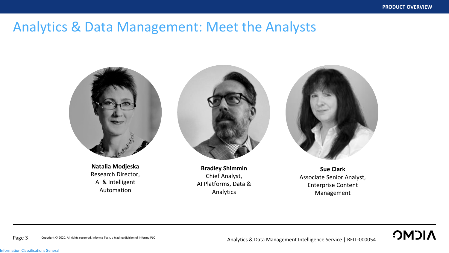### Analytics & Data Management: Meet the Analysts



**Natalia Modjeska** Research Director, AI & Intelligent Automation



**Bradley Shimmin** Chief Analyst, AI Platforms, Data & Analytics



**Sue Clark** Associate Senior Analyst, Enterprise Content Management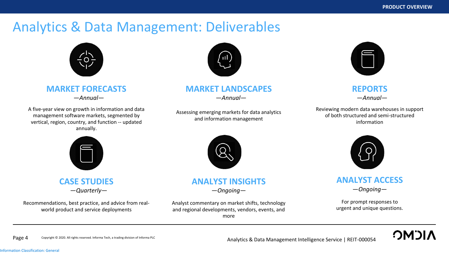### Analytics & Data Management: Deliverables



**MARKET FORECASTS**

*—Annual—*

A five-year view on growth in information and data management software markets, segmented by vertical, region, country, and function -- updated annually.



### **MARKET LANDSCAPES**

—*Annual—*

Assessing emerging markets for data analytics and information management



### **REPORTS**

—*Annual—*

Reviewing modern data warehouses in support of both structured and semi-structured information



**CASE STUDIES**

Recommendations, best practice, and advice from realworld product and service deployments

—*Quarterly—*

### **ANALYST INSIGHTS**

—*Ongoing—*

Analyst commentary on market shifts, technology and regional developments, vendors, events, and more



### **ANALYST ACCESS**

—*Ongoing—*

For prompt responses to urgent and unique questions.

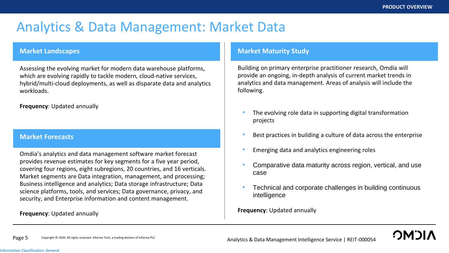### Analytics & Data Management: Market Data

#### **Market Landscapes**

Assessing the evolving market for modern data warehouse platforms, which are evolving rapidly to tackle modern, cloud-native services, hybrid/multi-cloud deployments, as well as disparate data and analytics workloads.

**Frequency**: Updated annually

#### **Market Forecasts**

Omdia's analytics and data management software market forecast provides revenue estimates for key segments for a five year period, covering four regions, eight subregions, 20 countries, and 16 verticals. Market segments are Data integration, management, and processing; Business intelligence and analytics; Data storage infrastructure; Data science platforms, tools, and services; Data governance, privacy, and security, and Enterprise information and content management.

#### **Frequency**: Updated annually

#### **Market Maturity Study**

Building on primary enterprise practitioner research, Omdia will provide an ongoing, in-depth analysis of current market trends in analytics and data management. Areas of analysis will include the following.

- The evolving role data in supporting digital transformation projects
- Best practices in building a culture of data across the enterprise
- Emerging data and analytics engineering roles
- Comparative data maturity across region, vertical, and use case
- Technical and corporate challenges in building continuous intelligence

**Frequency**: Updated annually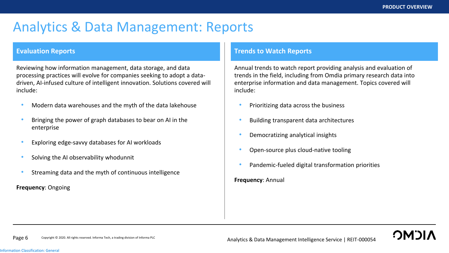## Analytics & Data Management: Reports

Reviewing how information management, data storage, and data processing practices will evolve for companies seeking to adopt a datadriven, AI-infused culture of intelligent innovation. Solutions covered will include:

- Modern data warehouses and the myth of the data lakehouse
- Bringing the power of graph databases to bear on AI in the enterprise
- Exploring edge-savvy databases for AI workloads
- Solving the AI observability whodunnit
- Streaming data and the myth of continuous intelligence

**Frequency**: Ongoing

#### **Evaluation Reports Trends to Watch Reports**

Annual trends to watch report providing analysis and evaluation of trends in the field, including from Omdia primary research data into enterprise information and data management. Topics covered will include:

- Prioritizing data across the business
- Building transparent data architectures
- Democratizing analytical insights
- Open-source plus cloud-native tooling
- Pandemic-fueled digital transformation priorities

**Frequency**: Annual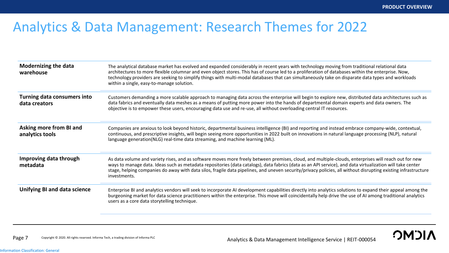**OMOIA** 

### Analytics & Data Management: Research Themes for 2022

| <b>Modernizing the data</b><br>warehouse     | The analytical database market has evolved and expanded considerably in recent years with technology moving from traditional relational data<br>architectures to more flexible columnar and even object stores. This has of course led to a proliferation of databases within the enterprise. Now,<br>technology providers are seeking to simplify things with multi-modal databases that can simultaneously take on disparate data types and workloads<br>within a single, easy-to-manage solution. |
|----------------------------------------------|------------------------------------------------------------------------------------------------------------------------------------------------------------------------------------------------------------------------------------------------------------------------------------------------------------------------------------------------------------------------------------------------------------------------------------------------------------------------------------------------------|
| Turning data consumers into<br>data creators | Customers demanding a more scalable approach to managing data across the enterprise will begin to explore new, distributed data architectures such as<br>data fabrics and eventually data meshes as a means of putting more power into the hands of departmental domain experts and data owners. The<br>objective is to empower these users, encouraging data use and re-use, all without overloading central IT resources.                                                                          |
| Asking more from BI and<br>analytics tools   | Companies are anxious to look beyond historic, departmental business intelligence (BI) and reporting and instead embrace company-wide, contextual,<br>continuous, and prescriptive insights, will begin seeing more opportunities in 2022 built on innovations in natural language processing (NLP), natural<br>language generation(NLG) real-time data streaming, and machine learning (ML).                                                                                                        |
| Improving data through<br>metadata           | As data volume and variety rises, and as software moves more freely between premises, cloud, and multiple-clouds, enterprises will reach out for new<br>ways to manage data. Ideas such as metadata repositories (data catalogs), data fabrics (data as an API service), and data virtualization will take center<br>stage, helping companies do away with data silos, fragile data pipelines, and uneven security/privacy policies, all without disrupting existing infrastructure<br>investments.  |
| <b>Unifying BI and data science</b>          | Enterprise BI and analytics vendors will seek to incorporate AI development capabilities directly into analytics solutions to expand their appeal among the<br>burgeoning market for data science practitioners within the enterprise. This move will coincidentally help drive the use of AI among traditional analytics<br>users as a core data storytelling technique.                                                                                                                            |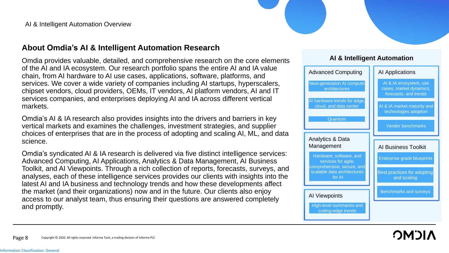### **About Omdia's AI & Intelligent Automation Research**

Omdia provides valuable, detailed, and comprehensive research on the core elements of the AI and IA ecosystem. Our research portfolio spans the entire AI and IA value chain, from AI hardware to AI use cases, applications, software, platforms, and services. We cover a wide variety of companies including AI startups, hyperscalers, chipset vendors, cloud providers, OEMs, IT vendors, AI platform vendors, AI and IT services companies, and enterprises deploying AI and IA across different vertical markets.

Omdia's AI & IA research also provides insights into the drivers and barriers in key vertical markets and examines the challenges, investment strategies, and supplier choices of enterprises that are in the process of adopting and scaling AI, ML, and data science.

Omdia's syndicated AI & IA research is delivered via five distinct intelligence services: Advanced Computing, AI Applications, Analytics & Data Management, AI Business Toolkit, and AI Viewpoints. Through a rich collection of reports, forecasts, surveys, and analyses, each of these intelligence services provides our clients with insights into the latest AI and IA business and technology trends and how these developments affect the market (and their organizations) now and in the future. Our clients also enjoy access to our analyst team, thus ensuring their questions are answered completely and promptly.



### **OMO**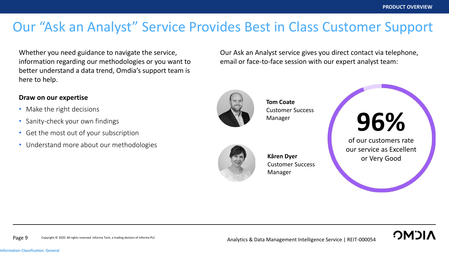# Our "Ask an Analyst" Service Provides Best in Class Customer Support

Whether you need guidance to navigate the service, information regarding our methodologies or you want to better understand a data trend, Omdia's support team is here to help.

### **Draw on our expertise**

- Make the right decisions
- Sanity-check your own findings
- Get the most out of your subscription
- Understand more about our methodologies

Our Ask an Analyst service gives you direct contact via telephone, email or face-to-face session with our expert analyst team:



**Tom Coate** Customer Success Manager



**Kâren Dyer** Customer Success Manager



our service as Excellent or Very Good